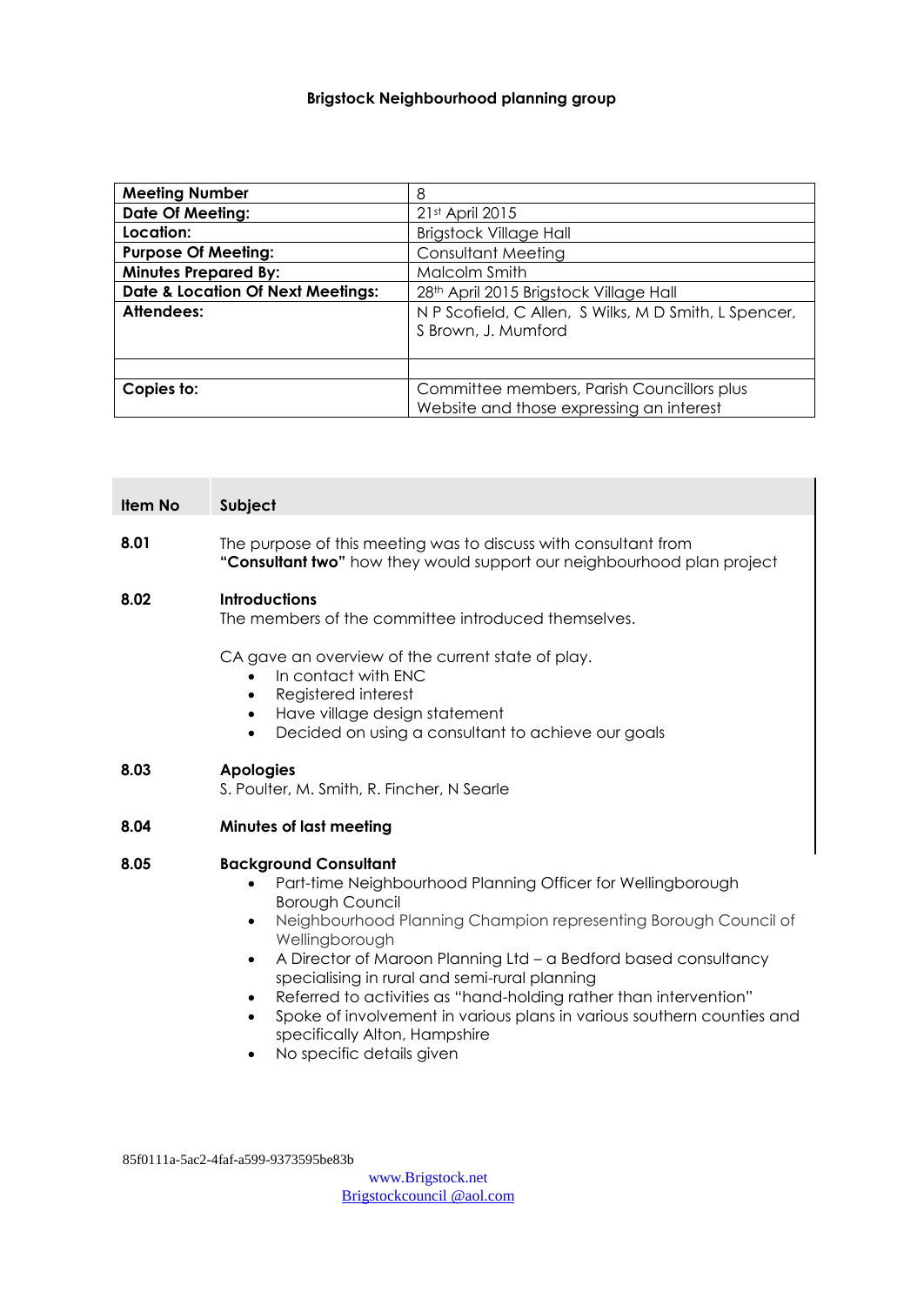# **Brigstock Neighbourhood planning group**

| <b>Meeting Number</b>                        | 8                                                     |  |
|----------------------------------------------|-------------------------------------------------------|--|
| <b>Date Of Meeting:</b>                      | 21st April 2015                                       |  |
| Location:                                    | <b>Brigstock Village Hall</b>                         |  |
| <b>Purpose Of Meeting:</b>                   | <b>Consultant Meeting</b>                             |  |
| <b>Minutes Prepared By:</b>                  | Malcolm Smith                                         |  |
| <b>Date &amp; Location Of Next Meetings:</b> | 28th April 2015 Brigstock Village Hall                |  |
| Attendees:                                   | N P Scofield, C Allen, S Wilks, M D Smith, L Spencer, |  |
|                                              | S Brown, J. Mumford                                   |  |
|                                              |                                                       |  |
|                                              |                                                       |  |
| Copies to:                                   | Committee members, Parish Councillors plus            |  |
|                                              | Website and those expressing an interest              |  |

| <b>Item No</b> | Subject                                                                                                                                                                                                                                                                                                                                                                                                                                                                                                                                                                         |  |
|----------------|---------------------------------------------------------------------------------------------------------------------------------------------------------------------------------------------------------------------------------------------------------------------------------------------------------------------------------------------------------------------------------------------------------------------------------------------------------------------------------------------------------------------------------------------------------------------------------|--|
| 8.01           | The purpose of this meeting was to discuss with consultant from<br>"Consultant two" how they would support our neighbourhood plan project                                                                                                                                                                                                                                                                                                                                                                                                                                       |  |
| 8.02           | <b>Introductions</b><br>The members of the committee introduced themselves.                                                                                                                                                                                                                                                                                                                                                                                                                                                                                                     |  |
|                | CA gave an overview of the current state of play.<br>In contact with ENC<br>$\bullet$<br>Registered interest<br>$\bullet$<br>Have village design statement<br>$\bullet$<br>Decided on using a consultant to achieve our goals<br>$\bullet$                                                                                                                                                                                                                                                                                                                                      |  |
| 8.03           | <b>Apologies</b><br>S. Poulter, M. Smith, R. Fincher, N Searle                                                                                                                                                                                                                                                                                                                                                                                                                                                                                                                  |  |
| 8.04           | <b>Minutes of last meeting</b>                                                                                                                                                                                                                                                                                                                                                                                                                                                                                                                                                  |  |
| 8.05           | <b>Background Consultant</b><br>Part-time Neighbourhood Planning Officer for Wellingborough<br>$\bullet$<br><b>Borough Council</b><br>Neighbourhood Planning Champion representing Borough Council of<br>$\bullet$<br>Wellingborough<br>A Director of Maroon Planning Ltd - a Bedford based consultancy<br>$\bullet$<br>specialising in rural and semi-rural planning<br>Referred to activities as "hand-holding rather than intervention"<br>$\bullet$<br>Spoke of involvement in various plans in various southern counties and<br>$\bullet$<br>specifically Alton, Hampshire |  |

No specific details given

85f0111a-5ac2-4faf-a599-9373595be83b

[www.Brigstock.net](http://www.brigstock.net/) Brigstockcouncil @aol.com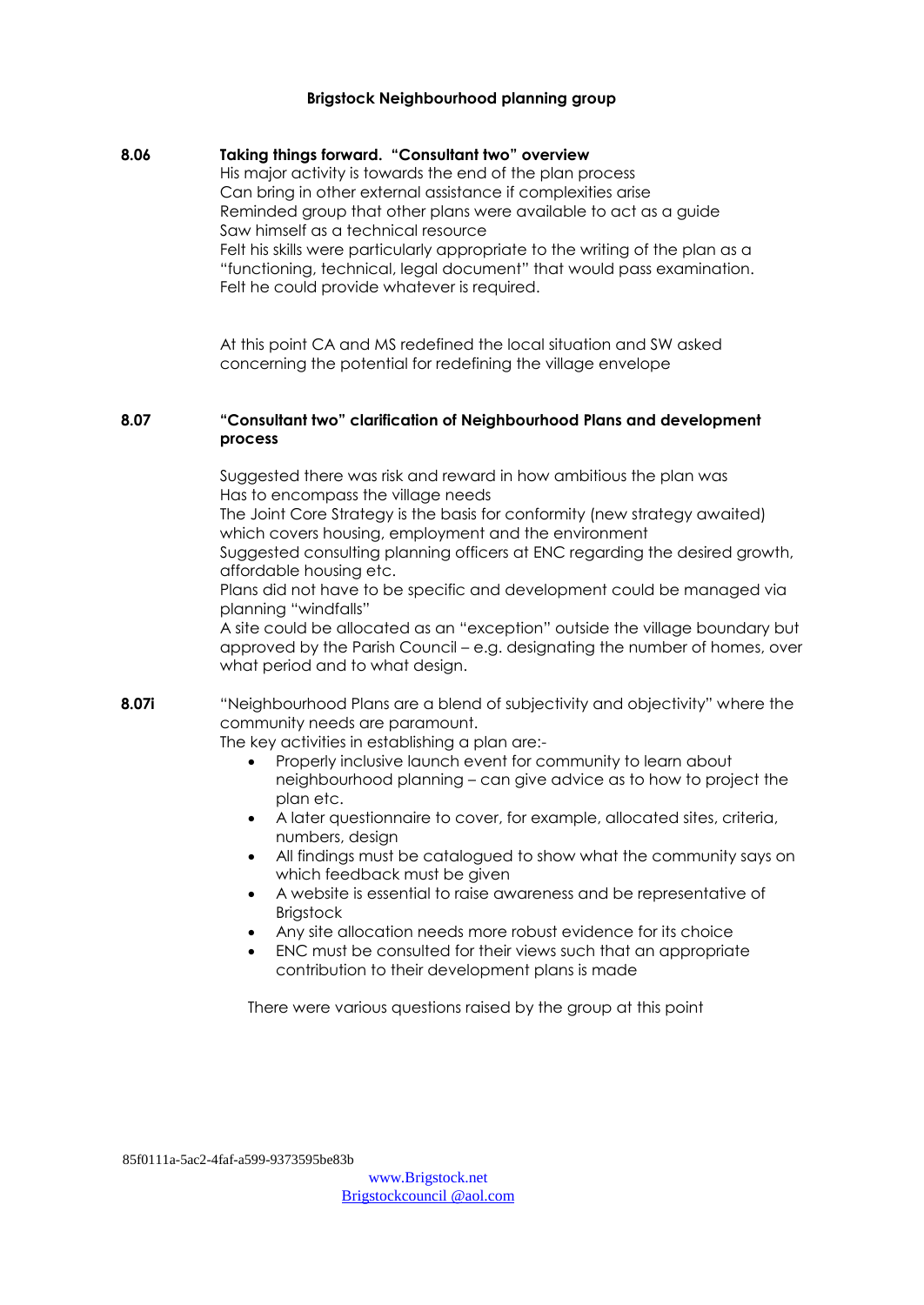#### **Brigstock Neighbourhood planning group**

#### **8.06 Taking things forward. "Consultant two" overview**

His major activity is towards the end of the plan process Can bring in other external assistance if complexities arise Reminded group that other plans were available to act as a guide Saw himself as a technical resource Felt his skills were particularly appropriate to the writing of the plan as a "functioning, technical, legal document" that would pass examination. Felt he could provide whatever is required.

At this point CA and MS redefined the local situation and SW asked concerning the potential for redefining the village envelope

#### **8.07 "Consultant two" clarification of Neighbourhood Plans and development process**

Suggested there was risk and reward in how ambitious the plan was Has to encompass the village needs

The Joint Core Strategy is the basis for conformity (new strategy awaited) which covers housing, employment and the environment

Suggested consulting planning officers at ENC regarding the desired growth, affordable housing etc.

Plans did not have to be specific and development could be managed via planning "windfalls"

A site could be allocated as an "exception" outside the village boundary but approved by the Parish Council – e.g. designating the number of homes, over what period and to what design.

**8.07i** "Neighbourhood Plans are a blend of subjectivity and objectivity" where the community needs are paramount.

The key activities in establishing a plan are:-

- Properly inclusive launch event for community to learn about neighbourhood planning – can give advice as to how to project the plan etc.
- A later questionnaire to cover, for example, allocated sites, criteria, numbers, design
- All findings must be catalogued to show what the community says on which feedback must be given
- A website is essential to raise awareness and be representative of **Brigstock**
- Any site allocation needs more robust evidence for its choice
- ENC must be consulted for their views such that an appropriate contribution to their development plans is made

There were various questions raised by the group at this point

85f0111a-5ac2-4faf-a599-9373595be83b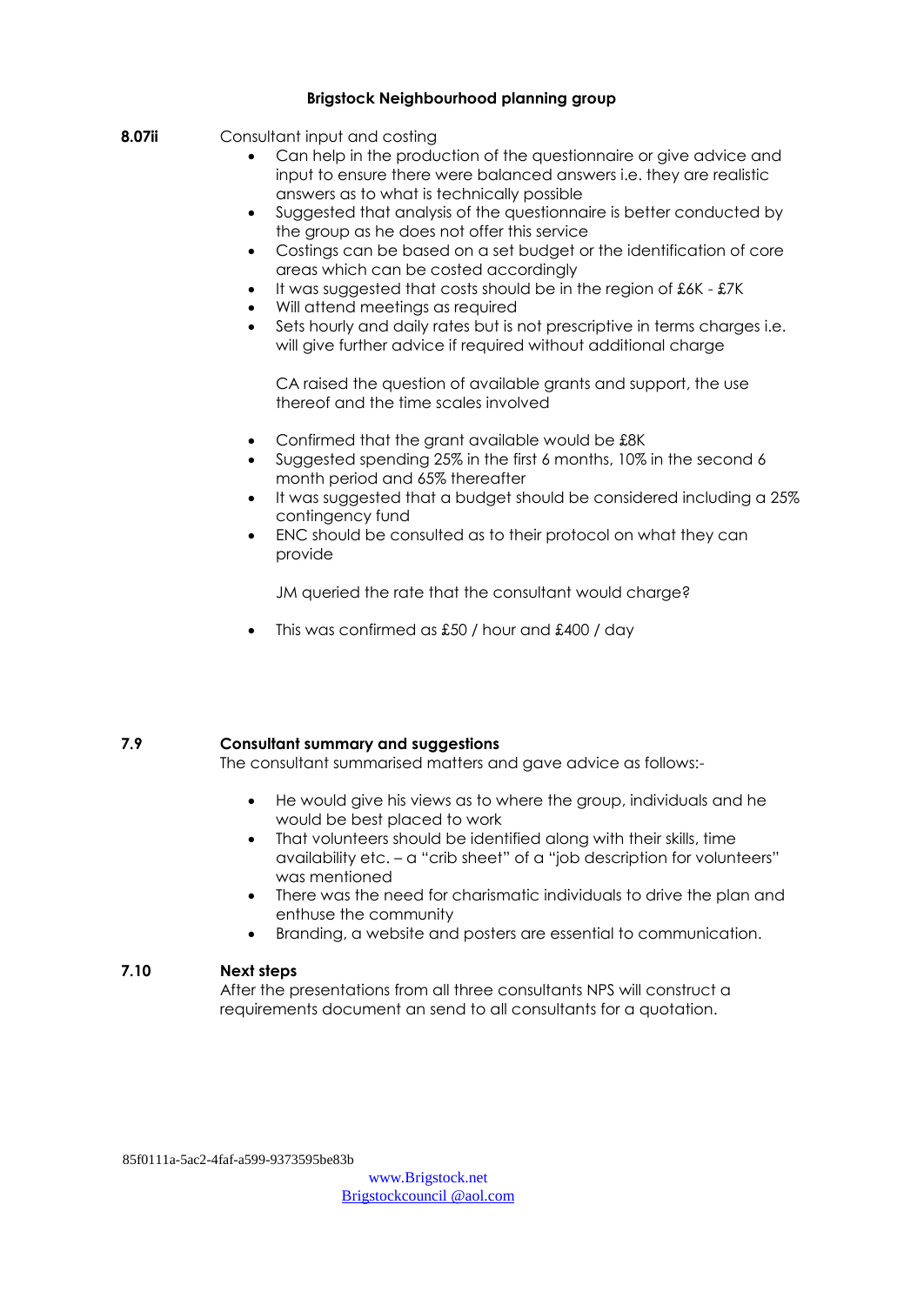#### **Brigstock Neighbourhood planning group**

- **8.07ii** Consultant input and costing
	- Can help in the production of the questionnaire or give advice and input to ensure there were balanced answers i.e. they are realistic answers as to what is technically possible
	- Suggested that analysis of the questionnaire is better conducted by the group as he does not offer this service
	- Costings can be based on a set budget or the identification of core areas which can be costed accordingly
	- It was suggested that costs should be in the region of £6K £7K
	- Will attend meetings as required
	- Sets hourly and daily rates but is not prescriptive in terms charges i.e. will give further advice if required without additional charge

CA raised the question of available grants and support, the use thereof and the time scales involved

- Confirmed that the grant available would be £8K
- Suggested spending 25% in the first 6 months, 10% in the second 6 month period and 65% thereafter
- It was suggested that a budget should be considered including a 25% contingency fund
- ENC should be consulted as to their protocol on what they can provide

JM queried the rate that the consultant would charge?

This was confirmed as £50 / hour and £400 / day

## **7.9 Consultant summary and suggestions**

The consultant summarised matters and gave advice as follows:-

- He would give his views as to where the group, individuals and he would be best placed to work
- That volunteers should be identified along with their skills, time availability etc. – a "crib sheet" of a "job description for volunteers" was mentioned
- There was the need for charismatic individuals to drive the plan and enthuse the community
- Branding, a website and posters are essential to communication.

## **7.10 Next steps**

After the presentations from all three consultants NPS will construct a requirements document an send to all consultants for a quotation.

85f0111a-5ac2-4faf-a599-9373595be83b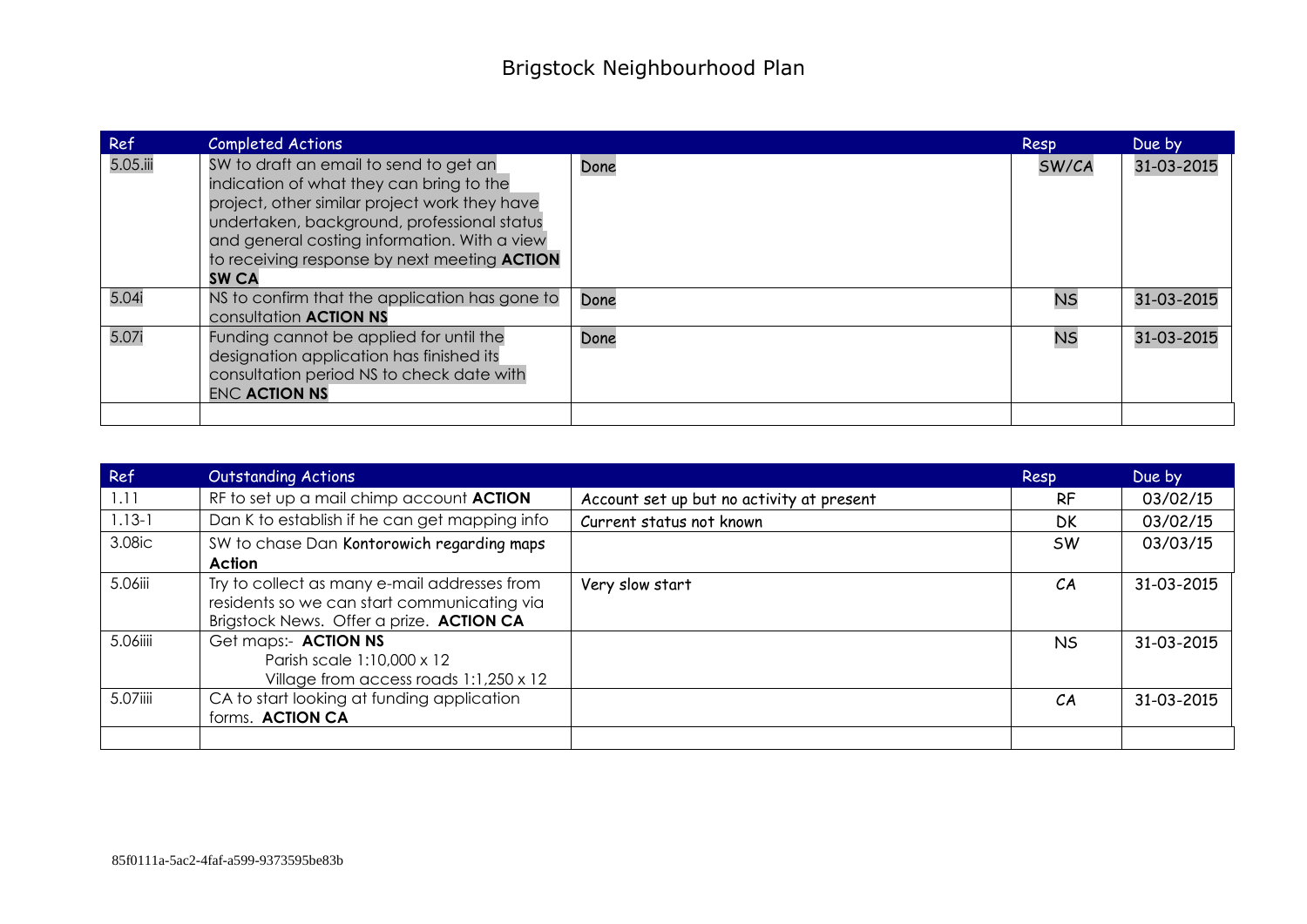| Ref      | <b>Completed Actions</b>                                                                                                                                                                                                                                                                                  |      | Resp      | Due by     |
|----------|-----------------------------------------------------------------------------------------------------------------------------------------------------------------------------------------------------------------------------------------------------------------------------------------------------------|------|-----------|------------|
| 5.05.iii | SW to draft an email to send to get an<br>indication of what they can bring to the<br>project, other similar project work they have<br>undertaken, background, professional status<br>and general costing information. With a view<br>to receiving response by next meeting <b>ACTION</b><br><b>SW CA</b> | Done | SW/CA     | 31-03-2015 |
| 5.04i    | NS to confirm that the application has gone to<br>consultation <b>ACTION NS</b>                                                                                                                                                                                                                           | Done | <b>NS</b> | 31-03-2015 |
| 5.07i    | Funding cannot be applied for until the<br>designation application has finished its<br>consultation period NS to check date with<br><b>ENC ACTION NS</b>                                                                                                                                                  | Done | <b>NS</b> | 31-03-2015 |
|          |                                                                                                                                                                                                                                                                                                           |      |           |            |

| Ref        | <b>Outstanding Actions</b>                                                                                                              |                                           | Resp      | Due by     |
|------------|-----------------------------------------------------------------------------------------------------------------------------------------|-------------------------------------------|-----------|------------|
| 1.11       | RF to set up a mail chimp account ACTION                                                                                                | Account set up but no activity at present | <b>RF</b> | 03/02/15   |
| $1.13 - 1$ | Dan K to establish if he can get mapping info                                                                                           | Current status not known                  | <b>DK</b> | 03/02/15   |
| 3.08ic     | SW to chase Dan Kontorowich regarding maps                                                                                              |                                           | <b>SW</b> | 03/03/15   |
|            | <b>Action</b>                                                                                                                           |                                           |           |            |
| 5.06iii    | Try to collect as many e-mail addresses from<br>residents so we can start communicating via<br>Brigstock News. Offer a prize. ACTION CA | Very slow start                           | CA        | 31-03-2015 |
| 5.06iiii   | Get maps:- ACTION NS<br>Parish scale 1:10,000 x 12<br>Village from access roads 1:1,250 x 12                                            |                                           | NS.       | 31-03-2015 |
| 5.07iiii   | CA to start looking at funding application<br>forms. ACTION CA                                                                          |                                           | CА        | 31-03-2015 |
|            |                                                                                                                                         |                                           |           |            |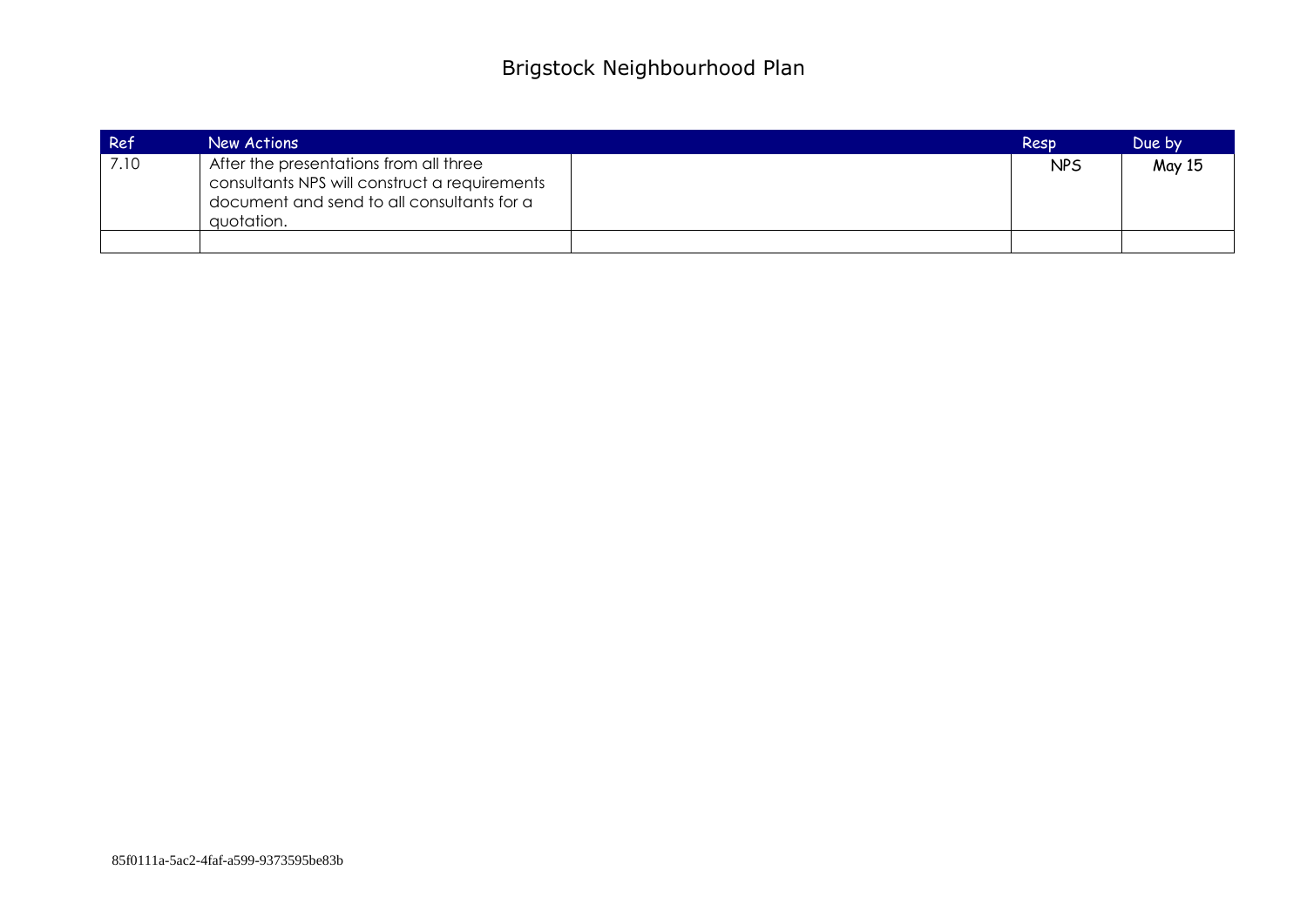| Ref  | New Actions                                                                                                                                         | Resp       | Due by |
|------|-----------------------------------------------------------------------------------------------------------------------------------------------------|------------|--------|
| 7.10 | After the presentations from all three<br>consultants NPS will construct a requirements<br>document and send to all consultants for a<br>quotation. | <b>NPS</b> | May 15 |
|      |                                                                                                                                                     |            |        |